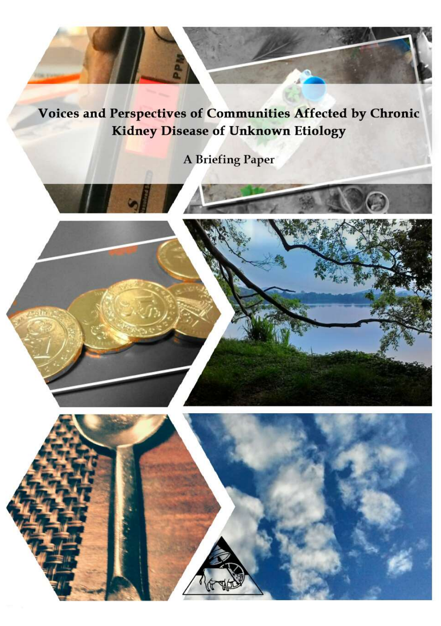

Voices and Perspectives of Communities Affected by Chronic **Kidney Disease of Unknown Etiology** 

**A Briefing Paper** 

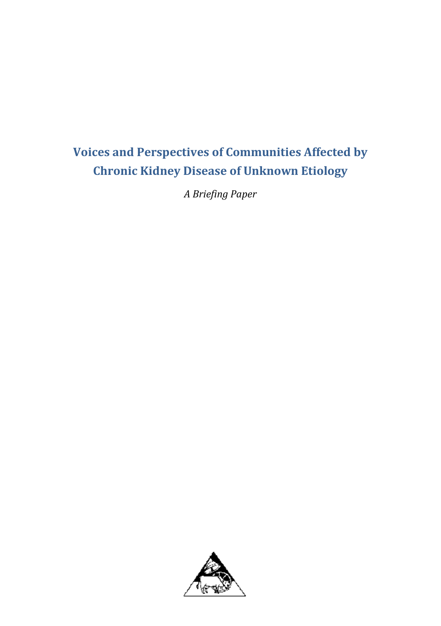# **Voices and Perspectives of Communities Affected by Chronic Kidney Disease of Unknown Etiology**

*A Briefing Paper*

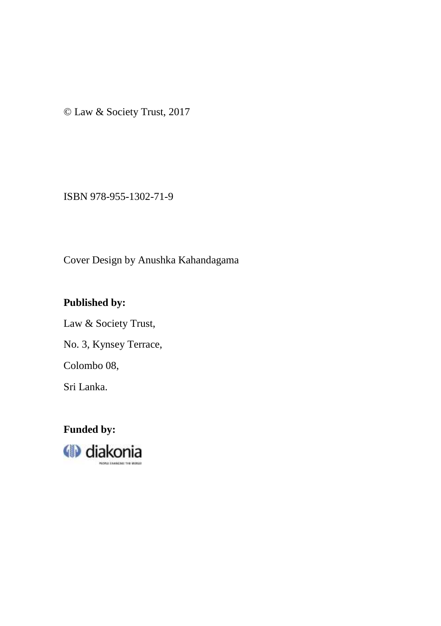© Law & Society Trust, 2017

ISBN 978-955-1302-71-9

Cover Design by Anushka Kahandagama

## **Published by:**

Law & Society Trust, No. 3, Kynsey Terrace, Colombo 08, Sri Lanka.

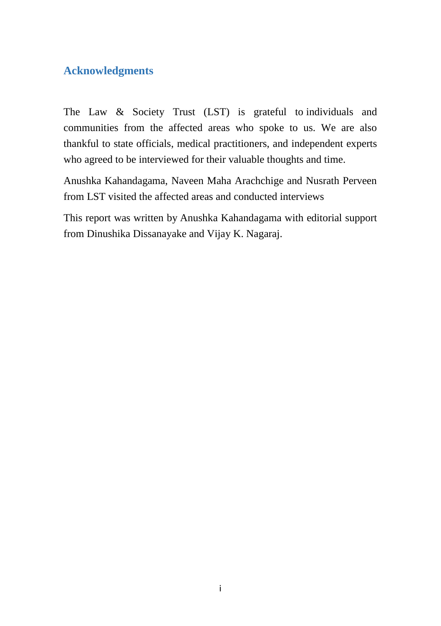# **Acknowledgments**

The Law & Society Trust (LST) is grateful to individuals and communities from the affected areas who spoke to us. We are also thankful to state officials, medical practitioners, and independent experts who agreed to be interviewed for their valuable thoughts and time.

Anushka Kahandagama, Naveen Maha Arachchige and Nusrath Perveen from LST visited the affected areas and conducted interviews

This report was written by Anushka Kahandagama with editorial support from Dinushika Dissanayake and Vijay K. Nagaraj.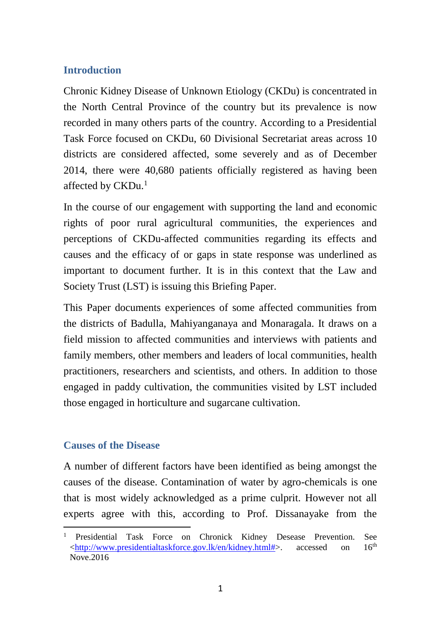## **Introduction**

Chronic Kidney Disease of Unknown Etiology (CKDu) is concentrated in the North Central Province of the country but its prevalence is now recorded in many others parts of the country. According to a Presidential Task Force focused on CKDu, 60 Divisional Secretariat areas across 10 districts are considered affected, some severely and as of December 2014, there were 40,680 patients officially registered as having been affected by  $CKDu.<sup>1</sup>$ 

In the course of our engagement with supporting the land and economic rights of poor rural agricultural communities, the experiences and perceptions of CKDu-affected communities regarding its effects and causes and the efficacy of or gaps in state response was underlined as important to document further. It is in this context that the Law and Society Trust (LST) is issuing this Briefing Paper.

This Paper documents experiences of some affected communities from the districts of Badulla, Mahiyanganaya and Monaragala. It draws on a field mission to affected communities and interviews with patients and family members, other members and leaders of local communities, health practitioners, researchers and scientists, and others. In addition to those engaged in paddy cultivation, the communities visited by LST included those engaged in horticulture and sugarcane cultivation.

## **Causes of the Disease**

 $\overline{\phantom{a}}$ 

A number of different factors have been identified as being amongst the causes of the disease. Contamination of water by agro-chemicals is one that is most widely acknowledged as a prime culprit. However not all experts agree with this, according to Prof. Dissanayake from the

<sup>1</sup> Presidential Task Force on Chronick Kidney Desease Prevention. See [<http://www.presidentialtaskforce.gov.lk/en/kidney.html#>](http://www.presidentialtaskforce.gov.lk/en/kidney.html). accessed on 16th Nove.2016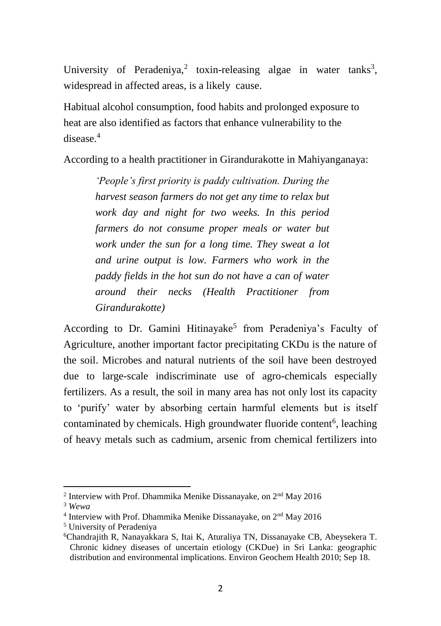University of Peradeniya,<sup>2</sup> toxin-releasing algae in water tanks<sup>3</sup>, widespread in affected areas, is a likely cause.

Habitual alcohol consumption, food habits and prolonged exposure to heat are also identified as factors that enhance vulnerability to the disease.<sup>4</sup>

According to a health practitioner in Girandurakotte in Mahiyanganaya:

*'People's first priority is paddy cultivation. During the harvest season farmers do not get any time to relax but work day and night for two weeks. In this period farmers do not consume proper meals or water but work under the sun for a long time. They sweat a lot and urine output is low. Farmers who work in the paddy fields in the hot sun do not have a can of water around their necks (Health Practitioner from Girandurakotte)* 

According to Dr. Gamini Hitinayake<sup>5</sup> from Peradeniya's Faculty of Agriculture, another important factor precipitating CKDu is the nature of the soil. Microbes and natural nutrients of the soil have been destroyed due to large-scale indiscriminate use of agro-chemicals especially fertilizers. As a result, the soil in many area has not only lost its capacity to 'purify' water by absorbing certain harmful elements but is itself contaminated by chemicals. High groundwater fluoride content<sup>6</sup>, leaching of heavy metals such as cadmium, arsenic from chemical fertilizers into

<sup>&</sup>lt;sup>2</sup> Interview with Prof. Dhammika Menike Dissanayake, on  $2<sup>nd</sup>$  May 2016

<sup>3</sup> *Wewa*

<sup>&</sup>lt;sup>4</sup> Interview with Prof. Dhammika Menike Dissanayake, on 2<sup>nd</sup> May 2016

<sup>5</sup> University of Peradeniya

<sup>6</sup>Chandrajith R, Nanayakkara S, Itai K, Aturaliya TN, Dissanayake CB, Abeysekera T. Chronic kidney diseases of uncertain etiology (CKDue) in Sri Lanka: geographic distribution and environmental implications. Environ Geochem Health 2010; Sep 18.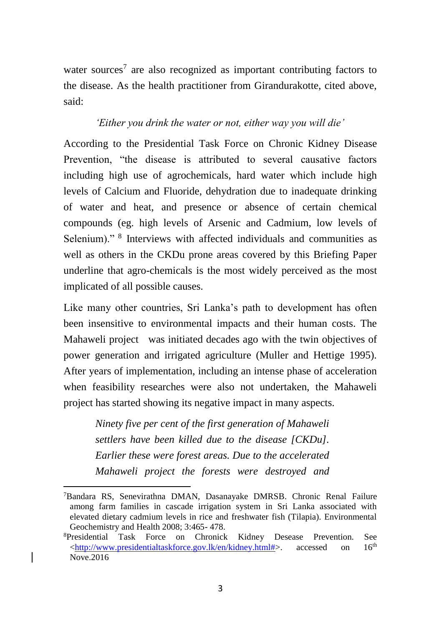water sources<sup>7</sup> are also recognized as important contributing factors to the disease. As the health practitioner from Girandurakotte, cited above, said:

## *'Either you drink the water or not, either way you will die'*

According to the Presidential Task Force on Chronic Kidney Disease Prevention, "the disease is attributed to several causative factors including high use of agrochemicals, hard water which include high levels of Calcium and Fluoride, dehydration due to inadequate drinking of water and heat, and presence or absence of certain chemical compounds (eg. high levels of Arsenic and Cadmium, low levels of Selenium)." <sup>8</sup> Interviews with affected individuals and communities as well as others in the CKDu prone areas covered by this Briefing Paper underline that agro-chemicals is the most widely perceived as the most implicated of all possible causes.

Like many other countries, Sri Lanka's path to development has often been insensitive to environmental impacts and their human costs. The Mahaweli project was initiated decades ago with the twin objectives of power generation and irrigated agriculture (Muller and Hettige 1995). After years of implementation, including an intense phase of acceleration when feasibility researches were also not undertaken, the Mahaweli project has started showing its negative impact in many aspects.

*Ninety five per cent of the first generation of Mahaweli settlers have been killed due to the disease [CKDu]. Earlier these were forest areas. Due to the accelerated Mahaweli project the forests were destroyed and* 

<sup>7</sup>Bandara RS, Senevirathna DMAN, Dasanayake DMRSB. Chronic Renal Failure among farm families in cascade irrigation system in Sri Lanka associated with elevated dietary cadmium levels in rice and freshwater fish (Tilapia). Environmental Geochemistry and Health 2008; 3:465- 478.

<sup>8</sup>Presidential Task Force on Chronick Kidney Desease Prevention. See [<http://www.presidentialtaskforce.gov.lk/en/kidney.html#>](http://www.presidentialtaskforce.gov.lk/en/kidney.html). accessed on 16th Nove.2016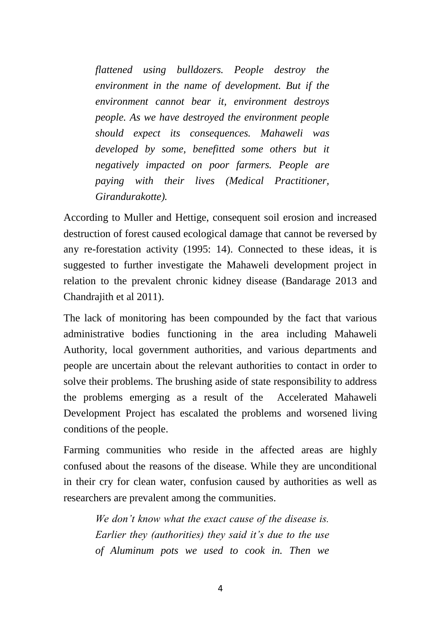*flattened using bulldozers. People destroy the environment in the name of development. But if the environment cannot bear it, environment destroys people. As we have destroyed the environment people should expect its consequences. Mahaweli was developed by some, benefitted some others but it negatively impacted on poor farmers. People are paying with their lives (Medical Practitioner, Girandurakotte).* 

According to Muller and Hettige, consequent soil erosion and increased destruction of forest caused ecological damage that cannot be reversed by any re-forestation activity (1995: 14). Connected to these ideas, it is suggested to further investigate the Mahaweli development project in relation to the prevalent chronic kidney disease (Bandarage 2013 and Chandrajith et al 2011).

The lack of monitoring has been compounded by the fact that various administrative bodies functioning in the area including Mahaweli Authority, local government authorities, and various departments and people are uncertain about the relevant authorities to contact in order to solve their problems. The brushing aside of state responsibility to address the problems emerging as a result of the Accelerated Mahaweli Development Project has escalated the problems and worsened living conditions of the people.

Farming communities who reside in the affected areas are highly confused about the reasons of the disease. While they are unconditional in their cry for clean water, confusion caused by authorities as well as researchers are prevalent among the communities.

> *We don't know what the exact cause of the disease is. Earlier they (authorities) they said it's due to the use of Aluminum pots we used to cook in. Then we*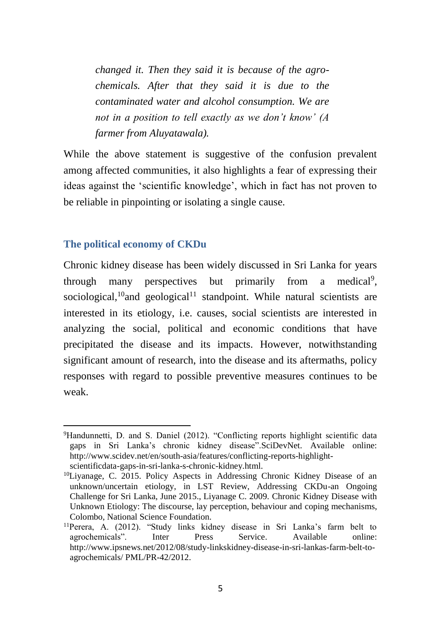*changed it. Then they said it is because of the agrochemicals. After that they said it is due to the contaminated water and alcohol consumption. We are not in a position to tell exactly as we don't know' (A farmer from Aluyatawala).* 

While the above statement is suggestive of the confusion prevalent among affected communities, it also highlights a fear of expressing their ideas against the 'scientific knowledge', which in fact has not proven to be reliable in pinpointing or isolating a single cause.

#### **The political economy of CKDu**

 $\overline{a}$ 

Chronic kidney disease has been widely discussed in Sri Lanka for years through many perspectives but primarily from a medical<sup>9</sup>. sociological, $10$ and geological $11$  standpoint. While natural scientists are interested in its etiology, i.e. causes, social scientists are interested in analyzing the social, political and economic conditions that have precipitated the disease and its impacts. However, notwithstanding significant amount of research, into the disease and its aftermaths, policy responses with regard to possible preventive measures continues to be weak.

<sup>9</sup>Handunnetti, D. and S. Daniel (2012). "Conflicting reports highlight scientific data gaps in Sri Lanka's chronic kidney disease".SciDevNet. Available online: http://www.scidev.net/en/south-asia/features/conflicting-reports-highlightscientificdata-gaps-in-sri-lanka-s-chronic-kidney.html.

<sup>10</sup>Liyanage, C. 2015. Policy Aspects in Addressing Chronic Kidney Disease of an unknown/uncertain etiology, in LST Review, Addressing CKDu-an Ongoing Challenge for Sri Lanka, June 2015., Liyanage C. 2009. Chronic Kidney Disease with Unknown Etiology: The discourse, lay perception, behaviour and coping mechanisms, Colombo, National Science Foundation.

<sup>&</sup>lt;sup>11</sup>Perera, A. (2012). "Study links kidney disease in Sri Lanka's farm belt to agrochemicals". Inter Press Service. Available online: http://www.ipsnews.net/2012/08/study-linkskidney-disease-in-sri-lankas-farm-belt-toagrochemicals/ PML/PR-42/2012.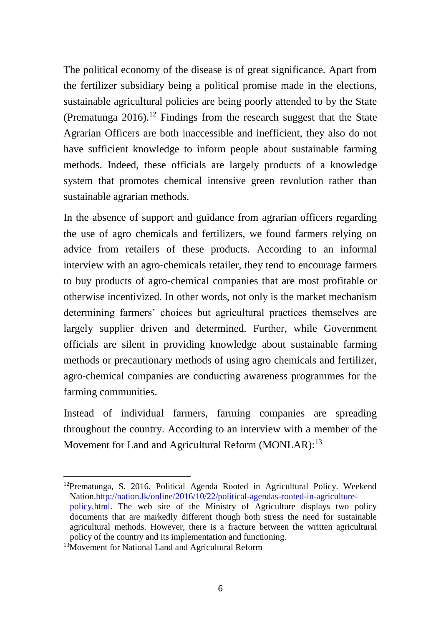The political economy of the disease is of great significance. Apart from the fertilizer subsidiary being a political promise made in the elections, sustainable agricultural policies are being poorly attended to by the State (Prematunga  $2016$ ).<sup>12</sup> Findings from the research suggest that the State Agrarian Officers are both inaccessible and inefficient, they also do not have sufficient knowledge to inform people about sustainable farming methods. Indeed, these officials are largely products of a knowledge system that promotes chemical intensive green revolution rather than sustainable agrarian methods.

In the absence of support and guidance from agrarian officers regarding the use of agro chemicals and fertilizers, we found farmers relying on advice from retailers of these products. According to an informal interview with an agro-chemicals retailer, they tend to encourage farmers to buy products of agro-chemical companies that are most profitable or otherwise incentivized. In other words, not only is the market mechanism determining farmers' choices but agricultural practices themselves are largely supplier driven and determined. Further, while Government officials are silent in providing knowledge about sustainable farming methods or precautionary methods of using agro chemicals and fertilizer, agro-chemical companies are conducting awareness programmes for the farming communities.

Instead of individual farmers, farming companies are spreading throughout the country. According to an interview with a member of the Movement for Land and Agricultural Reform (MONLAR):<sup>13</sup>

<sup>&</sup>lt;sup>12</sup>Prematunga, S. 2016. Political Agenda Rooted in Agricultural Policy. Weekend Nation[.http://nation.lk/online/2016/10/22/political-agendas-rooted-in-agriculture-](http://nation.lk/online/2016/10/22/political-agendas-rooted-in-agriculture-policy.html)

[policy.html.](http://nation.lk/online/2016/10/22/political-agendas-rooted-in-agriculture-policy.html) The web site of the Ministry of Agriculture displays two policy documents that are markedly different though both stress the need for sustainable agricultural methods. However, there is a fracture between the written agricultural policy of the country and its implementation and functioning.

<sup>13</sup>[Movement for National Land and Agricultural Reform](http://www.socialwatch.org/node/679)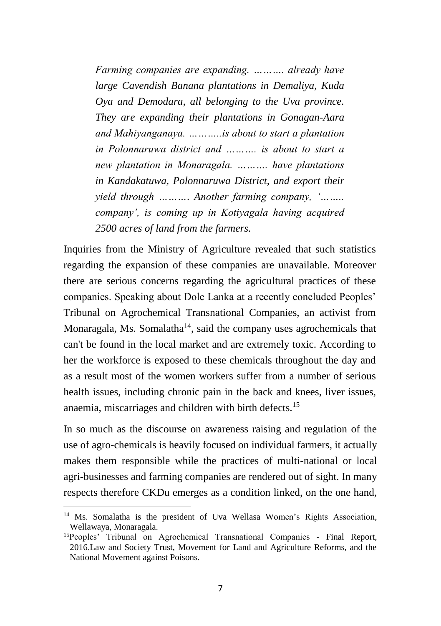*Farming companies are expanding. ………. already have large Cavendish Banana plantations in Demaliya, Kuda Oya and Demodara, all belonging to the Uva province. They are expanding their plantations in Gonagan-Aara and Mahiyanganaya. ………..is about to start a plantation in Polonnaruwa district and ………. is about to start a new plantation in Monaragala. ………. have plantations in Kandakatuwa, Polonnaruwa District, and export their yield through ………*. *Another farming company, '…….. company', is coming up in Kotiyagala having acquired 2500 acres of land from the farmers.*

Inquiries from the Ministry of Agriculture revealed that such statistics regarding the expansion of these companies are unavailable. Moreover there are serious concerns regarding the agricultural practices of these companies. Speaking about Dole Lanka at a recently concluded Peoples' Tribunal on Agrochemical Transnational Companies, an activist from Monaragala, Ms. Somalatha<sup>14</sup>, said the company uses agrochemicals that can't be found in the local market and are extremely toxic. According to her the workforce is exposed to these chemicals throughout the day and as a result most of the women workers suffer from a number of serious health issues, including chronic pain in the back and knees, liver issues, anaemia, miscarriages and children with birth defects.<sup>15</sup>

In so much as the discourse on awareness raising and regulation of the use of agro-chemicals is heavily focused on individual farmers, it actually makes them responsible while the practices of multi-national or local agri-businesses and farming companies are rendered out of sight. In many respects therefore CKDu emerges as a condition linked, on the one hand,

<sup>&</sup>lt;sup>14</sup> Ms. Somalatha is the president of Uva Wellasa Women's Rights Association, Wellawaya, Monaragala.

<sup>15</sup>Peoples' Tribunal on Agrochemical Transnational Companies - Final Report, 2016.Law and Society Trust, Movement for Land and Agriculture Reforms, and the National Movement against Poisons.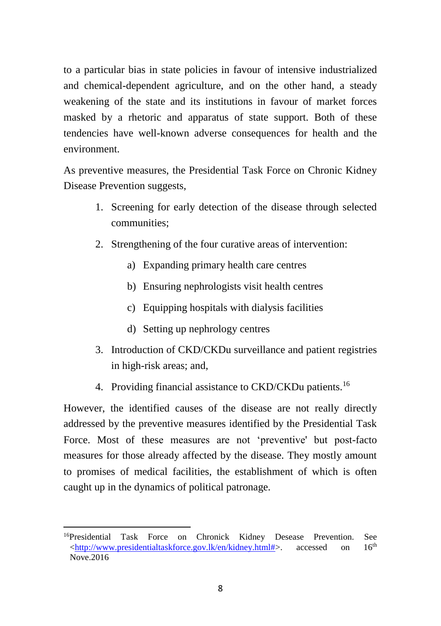to a particular bias in state policies in favour of intensive industrialized and chemical-dependent agriculture, and on the other hand, a steady weakening of the state and its institutions in favour of market forces masked by a rhetoric and apparatus of state support. Both of these tendencies have well-known adverse consequences for health and the environment.

As preventive measures, the Presidential Task Force on Chronic Kidney Disease Prevention suggests,

- 1. Screening for early detection of the disease through selected communities;
- 2. Strengthening of the four curative areas of intervention:
	- a) Expanding primary health care centres
	- b) Ensuring nephrologists visit health centres
	- c) Equipping hospitals with dialysis facilities
	- d) Setting up nephrology centres
- 3. Introduction of CKD/CKDu surveillance and patient registries in high-risk areas; and,
- 4. Providing financial assistance to CKD/CKDu patients.<sup>16</sup>

However, the identified causes of the disease are not really directly addressed by the preventive measures identified by the Presidential Task Force. Most of these measures are not 'preventive' but post-facto measures for those already affected by the disease. They mostly amount to promises of medical facilities, the establishment of which is often caught up in the dynamics of political patronage.

 $\overline{\phantom{a}}$ 

<sup>16</sup>Presidential Task Force on Chronick Kidney Desease Prevention. See [<http://www.presidentialtaskforce.gov.lk/en/kidney.html#>](http://www.presidentialtaskforce.gov.lk/en/kidney.html). accessed on 16th Nove.2016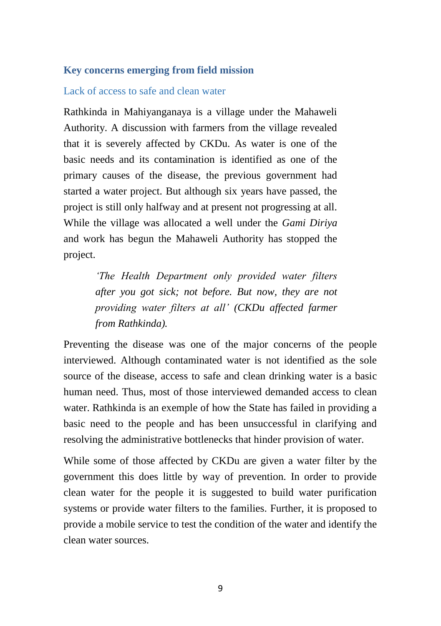#### **Key concerns emerging from field mission**

#### Lack of access to safe and clean water

Rathkinda in Mahiyanganaya is a village under the Mahaweli Authority. A discussion with farmers from the village revealed that it is severely affected by CKDu. As water is one of the basic needs and its contamination is identified as one of the primary causes of the disease, the previous government had started a water project. But although six years have passed, the project is still only halfway and at present not progressing at all. While the village was allocated a well under the *Gami Diriya*  and work has begun the Mahaweli Authority has stopped the project.

> *'The Health Department only provided water filters after you got sick; not before. But now, they are not providing water filters at all' (CKDu affected farmer from Rathkinda).*

Preventing the disease was one of the major concerns of the people interviewed. Although contaminated water is not identified as the sole source of the disease, access to safe and clean drinking water is a basic human need. Thus, most of those interviewed demanded access to clean water. Rathkinda is an exemple of how the State has failed in providing a basic need to the people and has been unsuccessful in clarifying and resolving the administrative bottlenecks that hinder provision of water.

While some of those affected by CKDu are given a water filter by the government this does little by way of prevention. In order to provide clean water for the people it is suggested to build water purification systems or provide water filters to the families. Further, it is proposed to provide a mobile service to test the condition of the water and identify the clean water sources.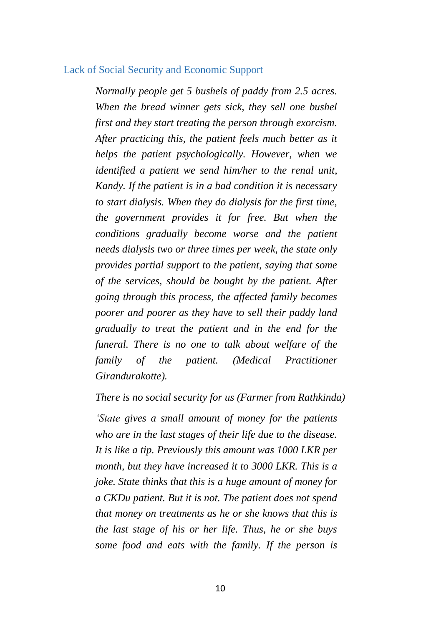#### Lack of Social Security and Economic Support

*Normally people get 5 bushels of paddy from 2.5 acres. When the bread winner gets sick, they sell one bushel first and they start treating the person through exorcism. After practicing this, the patient feels much better as it helps the patient psychologically. However, when we identified a patient we send him/her to the renal unit, Kandy. If the patient is in a bad condition it is necessary to start dialysis. When they do dialysis for the first time, the government provides it for free. But when the conditions gradually become worse and the patient needs dialysis two or three times per week, the state only provides partial support to the patient, saying that some of the services, should be bought by the patient. After going through this process, the affected family becomes poorer and poorer as they have to sell their paddy land gradually to treat the patient and in the end for the funeral. There is no one to talk about welfare of the family of the patient. (Medical Practitioner Girandurakotte).*

#### *There is no social security for us (Farmer from Rathkinda)*

*'State gives a small amount of money for the patients who are in the last stages of their life due to the disease. It is like a tip. Previously this amount was 1000 LKR per month, but they have increased it to 3000 LKR. This is a joke. State thinks that this is a huge amount of money for a CKDu patient. But it is not. The patient does not spend that money on treatments as he or she knows that this is the last stage of his or her life. Thus, he or she buys some food and eats with the family. If the person is*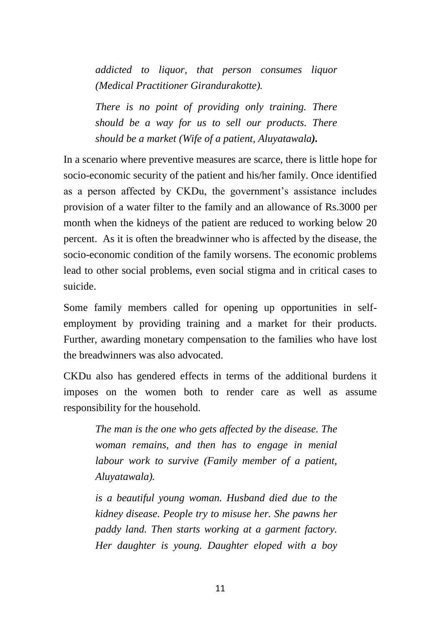*addicted to liquor, that person consumes liquor (Medical Practitioner Girandurakotte).*

*There is no point of providing only training. There should be a way for us to sell our products. There should be a market (Wife of a patient, Aluyatawala).*

In a scenario where preventive measures are scarce, there is little hope for socio-economic security of the patient and his/her family. Once identified as a person affected by CKDu, the government's assistance includes provision of a water filter to the family and an allowance of Rs.3000 per month when the kidneys of the patient are reduced to working below 20 percent. As it is often the breadwinner who is affected by the disease, the socio-economic condition of the family worsens. The economic problems lead to other social problems, even social stigma and in critical cases to suicide.

Some family members called for opening up opportunities in selfemployment by providing training and a market for their products. Further, awarding monetary compensation to the families who have lost the breadwinners was also advocated.

CKDu also has gendered effects in terms of the additional burdens it imposes on the women both to render care as well as assume responsibility for the household.

> *The man is the one who gets affected by the disease. The woman remains, and then has to engage in menial labour work to survive (Family member of a patient, Aluyatawala).*

> *is a beautiful young woman. Husband died due to the kidney disease. People try to misuse her. She pawns her paddy land. Then starts working at a garment factory. Her daughter is young. Daughter eloped with a boy*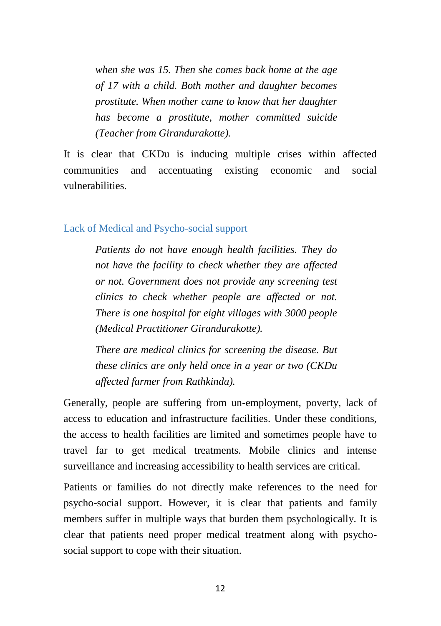*when she was 15. Then she comes back home at the age of 17 with a child. Both mother and daughter becomes prostitute. When mother came to know that her daughter has become a prostitute, mother committed suicide (Teacher from Girandurakotte).*

It is clear that CKDu is inducing multiple crises within affected communities and accentuating existing economic and social vulnerabilities.

#### Lack of Medical and Psycho-social support

*Patients do not have enough health facilities. They do not have the facility to check whether they are affected or not. Government does not provide any screening test clinics to check whether people are affected or not. There is one hospital for eight villages with 3000 people (Medical Practitioner Girandurakotte).*

*There are medical clinics for screening the disease. But these clinics are only held once in a year or two (CKDu affected farmer from Rathkinda).* 

Generally, people are suffering from un-employment, poverty, lack of access to education and infrastructure facilities. Under these conditions, the access to health facilities are limited and sometimes people have to travel far to get medical treatments. Mobile clinics and intense surveillance and increasing accessibility to health services are critical.

Patients or families do not directly make references to the need for psycho-social support. However, it is clear that patients and family members suffer in multiple ways that burden them psychologically. It is clear that patients need proper medical treatment along with psychosocial support to cope with their situation.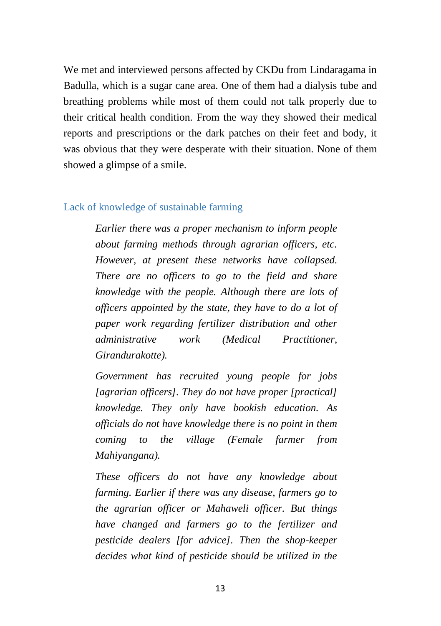We met and interviewed persons affected by CKDu from Lindaragama in Badulla, which is a sugar cane area. One of them had a dialysis tube and breathing problems while most of them could not talk properly due to their critical health condition. From the way they showed their medical reports and prescriptions or the dark patches on their feet and body, it was obvious that they were desperate with their situation. None of them showed a glimpse of a smile.

#### Lack of knowledge of sustainable farming

*Earlier there was a proper mechanism to inform people about farming methods through agrarian officers, etc. However, at present these networks have collapsed. There are no officers to go to the field and share knowledge with the people. Although there are lots of officers appointed by the state, they have to do a lot of paper work regarding fertilizer distribution and other administrative work (Medical Practitioner, Girandurakotte).*

*Government has recruited young people for jobs [agrarian officers]. They do not have proper [practical] knowledge. They only have bookish education. As officials do not have knowledge there is no point in them coming to the village (Female farmer from Mahiyangana).*

*These officers do not have any knowledge about farming. Earlier if there was any disease, farmers go to the agrarian officer or Mahaweli officer. But things have changed and farmers go to the fertilizer and pesticide dealers [for advice]. Then the shop-keeper decides what kind of pesticide should be utilized in the*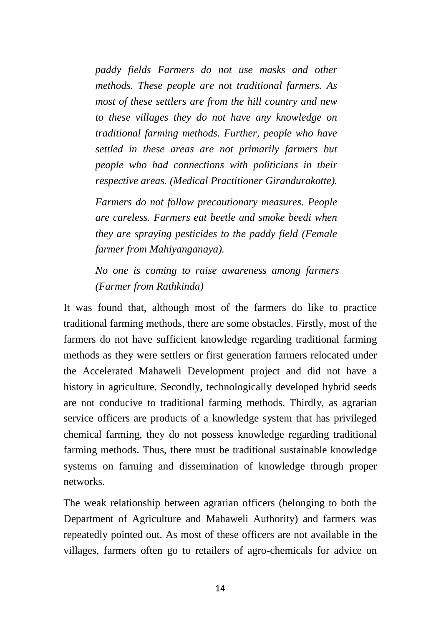*paddy fields Farmers do not use masks and other methods. These people are not traditional farmers. As most of these settlers are from the hill country and new to these villages they do not have any knowledge on traditional farming methods. Further, people who have settled in these areas are not primarily farmers but people who had connections with politicians in their respective areas. (Medical Practitioner Girandurakotte).*

*Farmers do not follow precautionary measures. People are careless. Farmers eat beetle and smoke beedi when they are spraying pesticides to the paddy field (Female farmer from Mahiyanganaya).* 

*No one is coming to raise awareness among farmers (Farmer from Rathkinda)*

It was found that, although most of the farmers do like to practice traditional farming methods, there are some obstacles. Firstly, most of the farmers do not have sufficient knowledge regarding traditional farming methods as they were settlers or first generation farmers relocated under the Accelerated Mahaweli Development project and did not have a history in agriculture. Secondly, technologically developed hybrid seeds are not conducive to traditional farming methods. Thirdly, as agrarian service officers are products of a knowledge system that has privileged chemical farming, they do not possess knowledge regarding traditional farming methods. Thus, there must be traditional sustainable knowledge systems on farming and dissemination of knowledge through proper networks.

The weak relationship between agrarian officers (belonging to both the Department of Agriculture and Mahaweli Authority) and farmers was repeatedly pointed out. As most of these officers are not available in the villages, farmers often go to retailers of agro-chemicals for advice on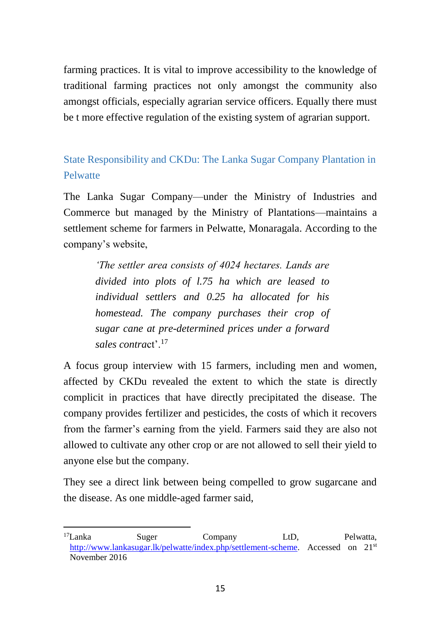farming practices. It is vital to improve accessibility to the knowledge of traditional farming practices not only amongst the community also amongst officials, especially agrarian service officers. Equally there must be t more effective regulation of the existing system of agrarian support.

State Responsibility and CKDu: The Lanka Sugar Company Plantation in Pelwatte

The Lanka Sugar Company—under the Ministry of Industries and Commerce but managed by the Ministry of Plantations—maintains a settlement scheme for farmers in Pelwatte, Monaragala. According to the company's website,

> *'The settler area consists of 4024 hectares. Lands are divided into plots of l.75 ha which are leased to individual settlers and 0.25 ha allocated for his homestead. The company purchases their crop of sugar cane at pre-determined prices under a forward sales contra*ct'.<sup>17</sup>

A focus group interview with 15 farmers, including men and women, affected by CKDu revealed the extent to which the state is directly complicit in practices that have directly precipitated the disease. The company provides fertilizer and pesticides, the costs of which it recovers from the farmer's earning from the yield. Farmers said they are also not allowed to cultivate any other crop or are not allowed to sell their yield to anyone else but the company.

They see a direct link between being compelled to grow sugarcane and the disease. As one middle-aged farmer said,

 $\overline{\phantom{a}}$ 

<sup>&</sup>lt;sup>17</sup>Lanka Suger Company LtD, Pelwatta, [http://www.lankasugar.lk/pelwatte/index.php/settlement-scheme.](http://www.lankasugar.lk/pelwatte/index.php/settlement-scheme) Accessed on 21st November 2016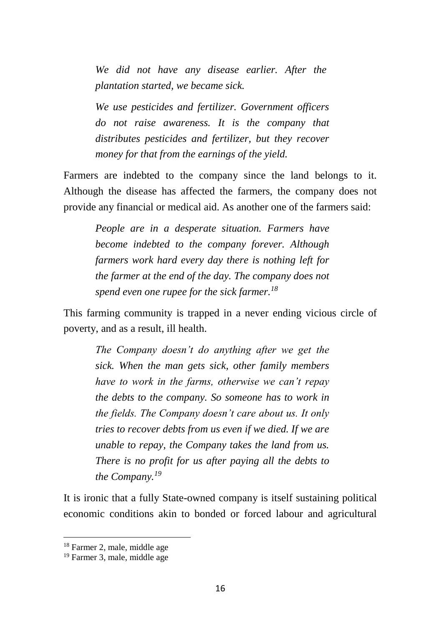*We did not have any disease earlier. After the plantation started, we became sick.* 

*We use pesticides and fertilizer. Government officers do not raise awareness. It is the company that distributes pesticides and fertilizer, but they recover money for that from the earnings of the yield.* 

Farmers are indebted to the company since the land belongs to it. Although the disease has affected the farmers, the company does not provide any financial or medical aid. As another one of the farmers said:

*People are in a desperate situation. Farmers have become indebted to the company forever. Although farmers work hard every day there is nothing left for the farmer at the end of the day. The company does not spend even one rupee for the sick farmer.<sup>18</sup>*

This farming community is trapped in a never ending vicious circle of poverty, and as a result, ill health.

*The Company doesn't do anything after we get the sick. When the man gets sick, other family members have to work in the farms, otherwise we can't repay the debts to the company. So someone has to work in the fields. The Company doesn't care about us. It only tries to recover debts from us even if we died. If we are unable to repay, the Company takes the land from us. There is no profit for us after paying all the debts to the Company.<sup>19</sup>*

It is ironic that a fully State-owned company is itself sustaining political economic conditions akin to bonded or forced labour and agricultural

<sup>18</sup> Farmer 2, male, middle age

<sup>19</sup> Farmer 3, male, middle age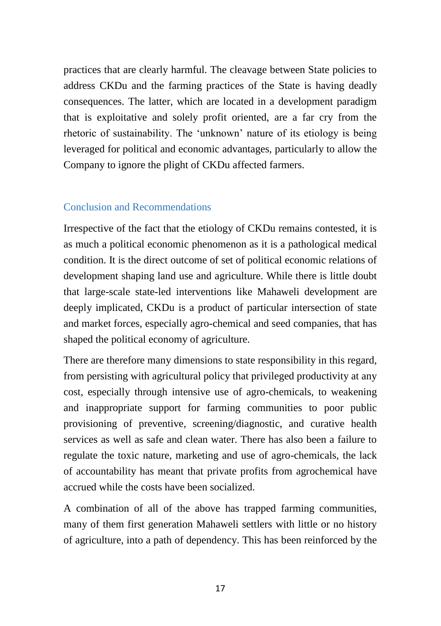practices that are clearly harmful. The cleavage between State policies to address CKDu and the farming practices of the State is having deadly consequences. The latter, which are located in a development paradigm that is exploitative and solely profit oriented, are a far cry from the rhetoric of sustainability. The 'unknown' nature of its etiology is being leveraged for political and economic advantages, particularly to allow the Company to ignore the plight of CKDu affected farmers.

### Conclusion and Recommendations

Irrespective of the fact that the etiology of CKDu remains contested, it is as much a political economic phenomenon as it is a pathological medical condition. It is the direct outcome of set of political economic relations of development shaping land use and agriculture. While there is little doubt that large-scale state-led interventions like Mahaweli development are deeply implicated, CKDu is a product of particular intersection of state and market forces, especially agro-chemical and seed companies, that has shaped the political economy of agriculture.

There are therefore many dimensions to state responsibility in this regard, from persisting with agricultural policy that privileged productivity at any cost, especially through intensive use of agro-chemicals, to weakening and inappropriate support for farming communities to poor public provisioning of preventive, screening/diagnostic, and curative health services as well as safe and clean water. There has also been a failure to regulate the toxic nature, marketing and use of agro-chemicals, the lack of accountability has meant that private profits from agrochemical have accrued while the costs have been socialized.

A combination of all of the above has trapped farming communities, many of them first generation Mahaweli settlers with little or no history of agriculture, into a path of dependency. This has been reinforced by the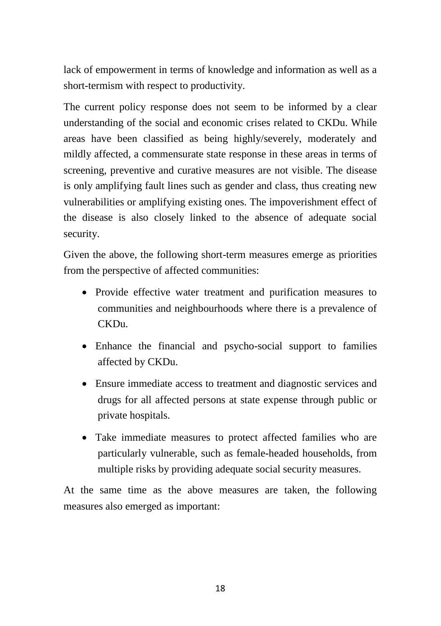lack of empowerment in terms of knowledge and information as well as a short-termism with respect to productivity.

The current policy response does not seem to be informed by a clear understanding of the social and economic crises related to CKDu. While areas have been classified as being highly/severely, moderately and mildly affected, a commensurate state response in these areas in terms of screening, preventive and curative measures are not visible. The disease is only amplifying fault lines such as gender and class, thus creating new vulnerabilities or amplifying existing ones. The impoverishment effect of the disease is also closely linked to the absence of adequate social security.

Given the above, the following short-term measures emerge as priorities from the perspective of affected communities:

- Provide effective water treatment and purification measures to communities and neighbourhoods where there is a prevalence of CKDu.
- Enhance the financial and psycho-social support to families affected by CKDu.
- Ensure immediate access to treatment and diagnostic services and drugs for all affected persons at state expense through public or private hospitals.
- Take immediate measures to protect affected families who are particularly vulnerable, such as female-headed households, from multiple risks by providing adequate social security measures.

At the same time as the above measures are taken, the following measures also emerged as important: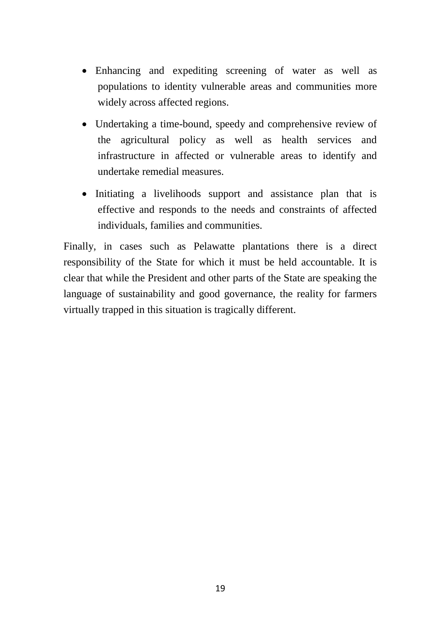- Enhancing and expediting screening of water as well as populations to identity vulnerable areas and communities more widely across affected regions.
- Undertaking a time-bound, speedy and comprehensive review of the agricultural policy as well as health services and infrastructure in affected or vulnerable areas to identify and undertake remedial measures.
- Initiating a livelihoods support and assistance plan that is effective and responds to the needs and constraints of affected individuals, families and communities.

Finally, in cases such as Pelawatte plantations there is a direct responsibility of the State for which it must be held accountable. It is clear that while the President and other parts of the State are speaking the language of sustainability and good governance, the reality for farmers virtually trapped in this situation is tragically different.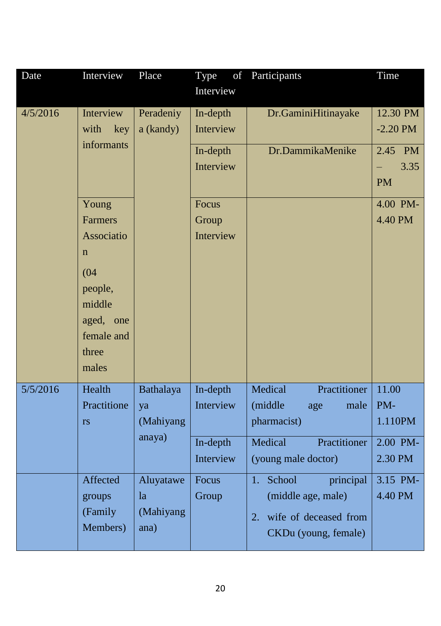| Date     | Interview      | Place     | Type<br>of | Participants                | Time       |
|----------|----------------|-----------|------------|-----------------------------|------------|
|          |                |           | Interview  |                             |            |
| 4/5/2016 | Interview      | Peradeniy | In-depth   | Dr.GaminiHitinayake         | 12.30 PM   |
|          | with<br>key    | a (kandy) | Interview  |                             | $-2.20$ PM |
|          | informants     |           | In-depth   | Dr.DammikaMenike            | 2.45 PM    |
|          |                |           | Interview  |                             | 3.35<br>÷  |
|          |                |           |            |                             | <b>PM</b>  |
|          | Young          |           | Focus      |                             | 4.00 PM-   |
|          | <b>Farmers</b> |           | Group      |                             | 4.40 PM    |
|          | Associatio     |           | Interview  |                             |            |
|          | $\mathbf n$    |           |            |                             |            |
|          | (04)           |           |            |                             |            |
|          | people,        |           |            |                             |            |
|          | middle         |           |            |                             |            |
|          | aged, one      |           |            |                             |            |
|          | female and     |           |            |                             |            |
|          | three          |           |            |                             |            |
|          | males          |           |            |                             |            |
| 5/5/2016 | Health         | Bathalaya | In-depth   | Practitioner<br>Medical     | 11.00      |
|          | Practitione    | ya        | Interview  | (middle<br>male<br>age      | PM-        |
|          | rs             | (Mahiyang |            | pharmacist)                 | 1.110PM    |
|          |                | anaya)    | In-depth   | Practitioner<br>Medical     | 2.00 PM-   |
|          |                |           | Interview  | (young male doctor)         | 2.30 PM    |
|          | Affected       | Aluyatawe | Focus      | School<br>principal<br>1.   | 3.15 PM-   |
|          | groups         | la        | Group      | (middle age, male)          | 4.40 PM    |
|          | (Family        | (Mahiyang |            | wife of deceased from<br>2. |            |
|          | Members)       | ana)      |            | CKDu (young, female)        |            |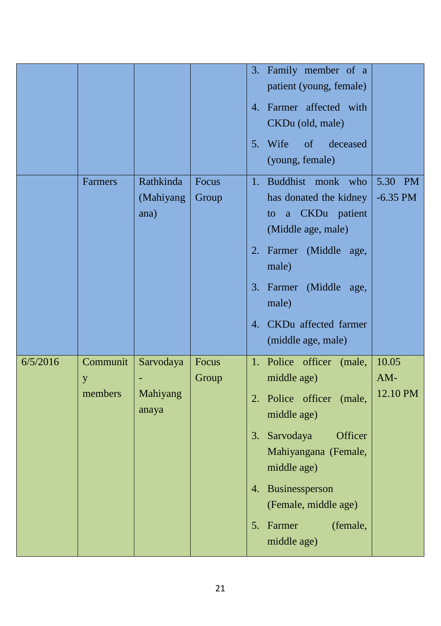|          |                          |                                |                | 3. Family member of a<br>patient (young, female)<br>4. Farmer affected with<br>CKDu (old, male)<br>5. Wife<br>of<br>deceased<br>(young, female)                                                                                                                                           |
|----------|--------------------------|--------------------------------|----------------|-------------------------------------------------------------------------------------------------------------------------------------------------------------------------------------------------------------------------------------------------------------------------------------------|
|          | Farmers                  | Rathkinda<br>(Mahiyang<br>ana) | Focus<br>Group | Buddhist monk who<br>5.30 PM<br>1.<br>has donated the kidney<br>$-6.35$ PM<br>a CKDu patient<br>to<br>(Middle age, male)<br>Farmer (Middle age,<br>2.<br>male)<br>Farmer (Middle age,<br>3.<br>male)<br>4. CKDu affected farmer<br>(middle age, male)                                     |
| 6/5/2016 | Communit<br>y<br>members | Sarvodaya<br>Mahiyang<br>anaya | Focus<br>Group | 1. Police officer<br>(male,<br>10.05<br>$AM-$<br>middle age)<br>12.10 PM<br>Police officer<br>(male,<br>2.<br>middle age)<br>Sarvodaya<br>Officer<br>3.<br>Mahiyangana (Female,<br>middle age)<br>Businessperson<br>4.<br>(Female, middle age)<br>Farmer<br>(female,<br>5.<br>middle age) |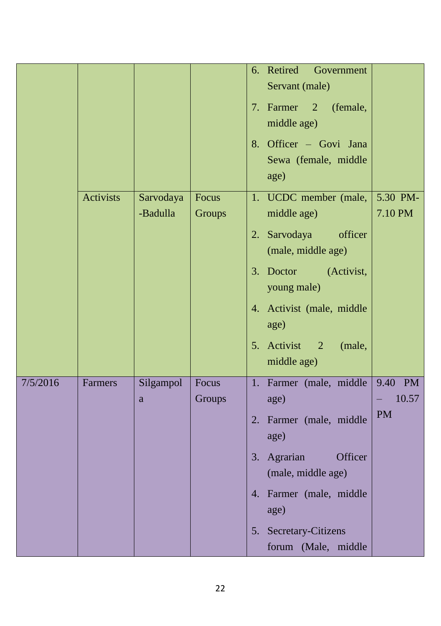|          |           |                          |                 | 6. Retired<br>Government<br>Servant (male)<br>7. Farmer 2<br>(female,<br>middle age)<br>8. Officer - Govi Jana<br>Sewa (female, middle<br>age)                                                                                                           |
|----------|-----------|--------------------------|-----------------|----------------------------------------------------------------------------------------------------------------------------------------------------------------------------------------------------------------------------------------------------------|
|          | Activists | Sarvodaya<br>-Badulla    | Focus<br>Groups | 5.30 PM-<br>1. UCDC member (male,<br>7.10 PM<br>middle age)<br>Sarvodaya<br>officer<br>2.<br>(male, middle age)<br>3. Doctor<br>(Activist,<br>young male)<br>4. Activist (male, middle<br>age)<br>5. Activist<br>$\overline{2}$<br>(male,<br>middle age) |
| 7/5/2016 | Farmers   | Silgampol<br>$\mathbf a$ | Focus<br>Groups | 1. Farmer (male, middle<br>9.40 PM<br>10.57<br>age)<br><b>PM</b><br>2. Farmer (male, middle<br>age)<br>3. Agrarian<br>Officer<br>(male, middle age)<br>4. Farmer (male, middle<br>age)<br>5. Secretary-Citizens<br>forum (Male, middle                   |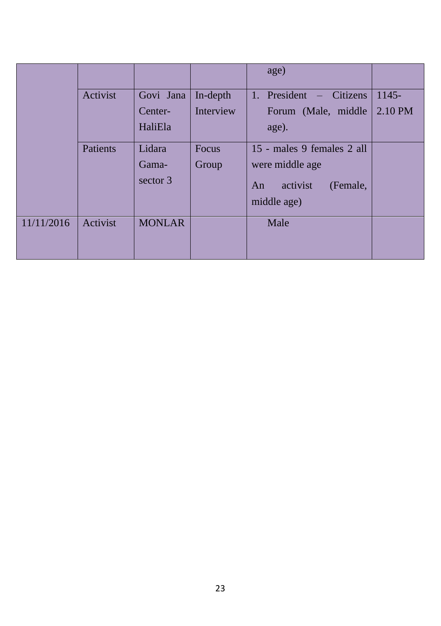|            |          |               |           | age)                         |         |
|------------|----------|---------------|-----------|------------------------------|---------|
|            | Activist | Govi Jana     | In-depth  | 1. President<br>$-$ Citizens | 1145-   |
|            |          | Center-       | Interview | Forum (Male, middle)         | 2.10 PM |
|            |          | HaliEla       |           | age).                        |         |
|            | Patients | Lidara        | Focus     | 15 - males 9 females 2 all   |         |
|            |          | Gama-         | Group     | were middle age              |         |
|            |          | sector 3      |           | activist<br>(Female,<br>An   |         |
|            |          |               |           | middle age)                  |         |
| 11/11/2016 | Activist | <b>MONLAR</b> |           | Male                         |         |
|            |          |               |           |                              |         |